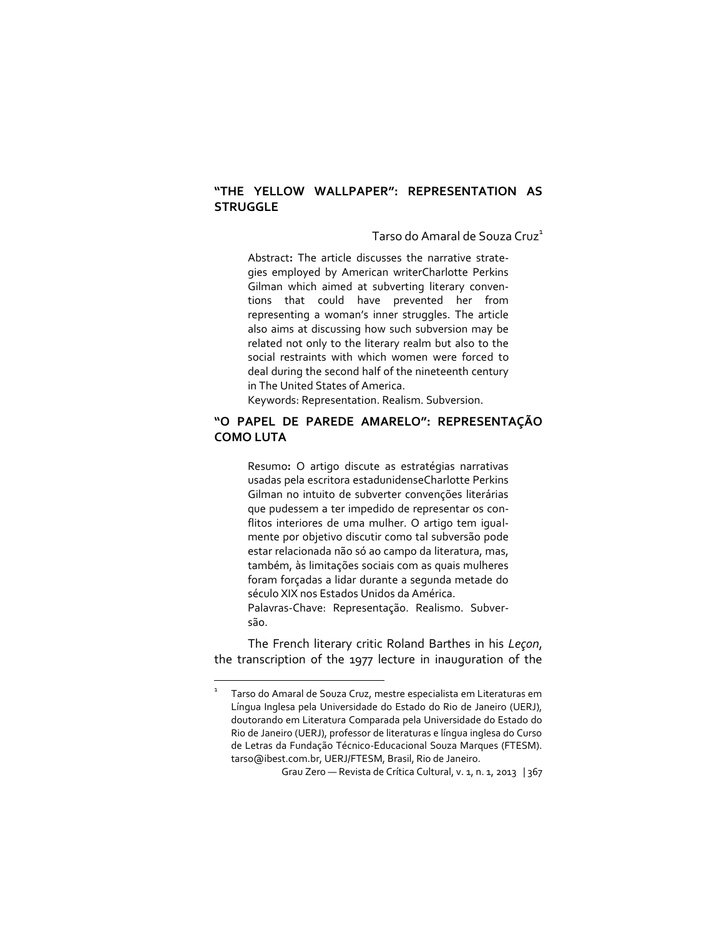#### **"THE YELLOW WALLPAPER": REPRESENTATION AS STRUGGLE**

Tarso do Amaral de Souza Cruz<sup>1</sup>

Abstract**:** The article discusses the narrative strategies employed by American writerCharlotte Perkins Gilman which aimed at subverting literary conventions that could have prevented her from representing a woman's inner struggles. The article also aims at discussing how such subversion may be related not only to the literary realm but also to the social restraints with which women were forced to deal during the second half of the nineteenth century in The United States of America.

Keywords: Representation. Realism. Subversion.

#### **"O PAPEL DE PAREDE AMARELO": REPRESENTAÇÃO COMO LUTA**

Resumo**:** O artigo discute as estratégias narrativas usadas pela escritora estadunidenseCharlotte Perkins Gilman no intuito de subverter convenções literárias que pudessem a ter impedido de representar os conflitos interiores de uma mulher. O artigo tem igualmente por objetivo discutir como tal subversão pode estar relacionada não só ao campo da literatura, mas, também, às limitações sociais com as quais mulheres foram forçadas a lidar durante a segunda metade do século XIX nos Estados Unidos da América. Palavras-Chave: Representação. Realismo. Subversão.

The French literary critic Roland Barthes in his *Leçon*, the transcription of the 1977 lecture in inauguration of the

 $\overline{a}$ 

<sup>1</sup> Tarso do Amaral de Souza Cruz, mestre especialista em Literaturas em Língua Inglesa pela Universidade do Estado do Rio de Janeiro (UERJ), doutorando em Literatura Comparada pela Universidade do Estado do Rio de Janeiro (UERJ), professor de literaturas e língua inglesa do Curso de Letras da Fundação Técnico-Educacional Souza Marques (FTESM). tarso@ibest.com.br, UERJ/FTESM, Brasil, Rio de Janeiro.

Grau Zero — Revista de Crítica Cultural, v. 1, n. 1, 2013 | 367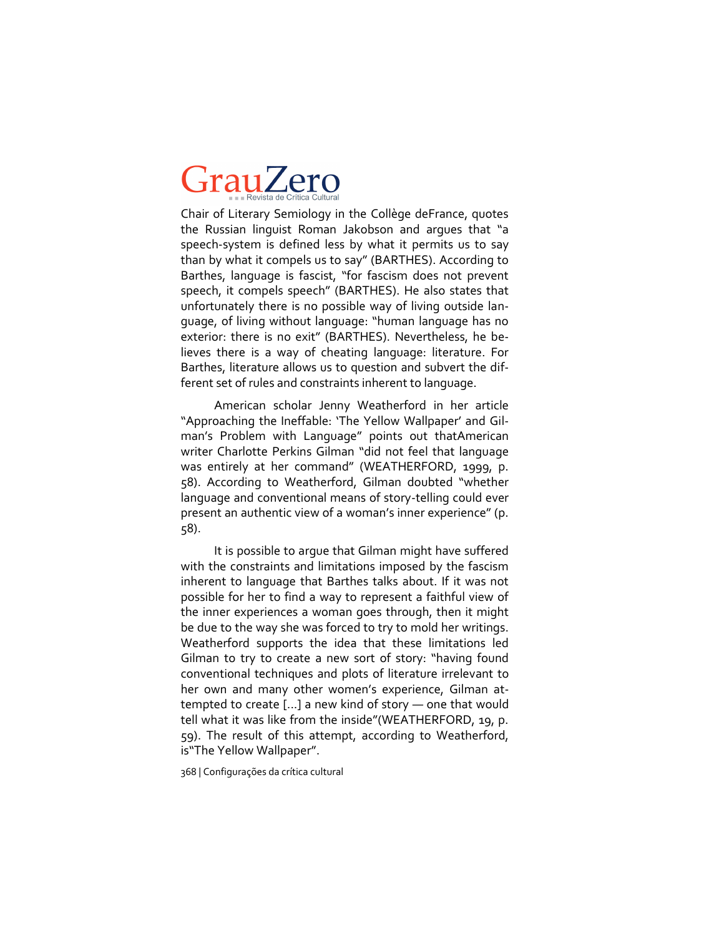Chair of Literary Semiology in the Collège deFrance, quotes the Russian linguist Roman Jakobson and argues that "a speech-system is defined less by what it permits us to say than by what it compels us to say" (BARTHES). According to Barthes, language is fascist, "for fascism does not prevent speech, it compels speech" (BARTHES). He also states that unfortunately there is no possible way of living outside language, of living without language: "human language has no exterior: there is no exit" (BARTHES). Nevertheless, he believes there is a way of cheating language: literature. For Barthes, literature allows us to question and subvert the different set of rules and constraints inherent to language.

American scholar Jenny Weatherford in her article "Approaching the Ineffable: 'The Yellow Wallpaper' and Gilman's Problem with Language" points out thatAmerican writer Charlotte Perkins Gilman "did not feel that language was entirely at her command" (WEATHERFORD, 1999, p. 58). According to Weatherford, Gilman doubted "whether language and conventional means of story-telling could ever present an authentic view of a woman's inner experience" (p. 58).

It is possible to argue that Gilman might have suffered with the constraints and limitations imposed by the fascism inherent to language that Barthes talks about. If it was not possible for her to find a way to represent a faithful view of the inner experiences a woman goes through, then it might be due to the way she was forced to try to mold her writings. Weatherford supports the idea that these limitations led Gilman to try to create a new sort of story: "having found conventional techniques and plots of literature irrelevant to her own and many other women's experience, Gilman attempted to create [...] a new kind of story — one that would tell what it was like from the inside"(WEATHERFORD, 19, p. 59). The result of this attempt, according to Weatherford, is"The Yellow Wallpaper".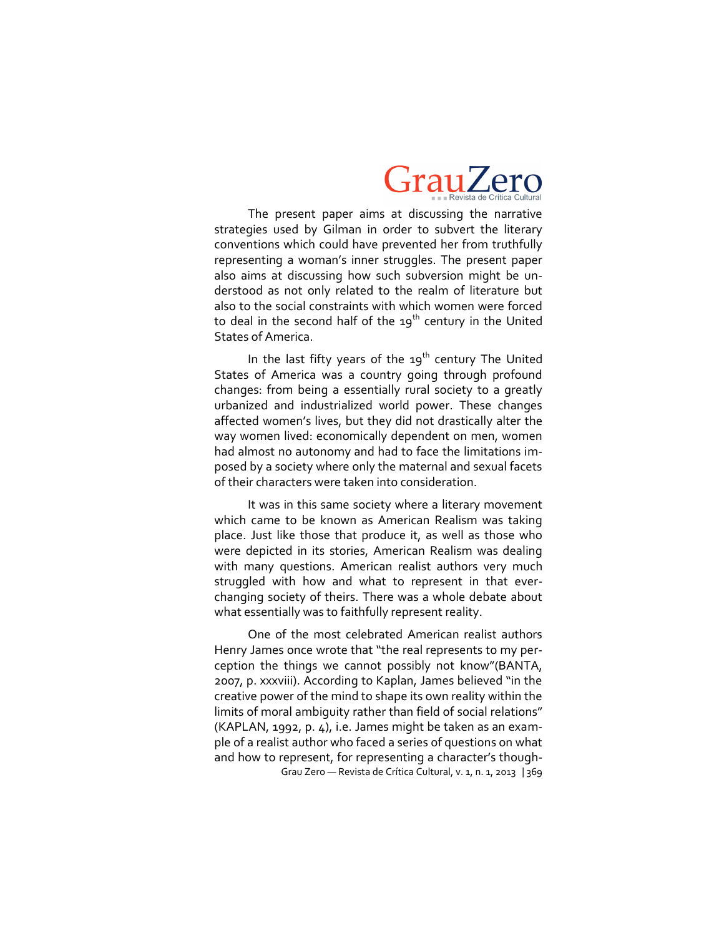

The present paper aims at discussing the narrative strategies used by Gilman in order to subvert the literary conventions which could have prevented her from truthfully representing a woman's inner struggles. The present paper also aims at discussing how such subversion might be understood as not only related to the realm of literature but also to the social constraints with which women were forced to deal in the second half of the  $19<sup>th</sup>$  century in the United States of America.

In the last fifty years of the  $19<sup>th</sup>$  century The United States of America was a country going through profound changes: from being a essentially rural society to a greatly urbanized and industrialized world power. These changes affected women's lives, but they did not drastically alter the way women lived: economically dependent on men, women had almost no autonomy and had to face the limitations imposed by a society where only the maternal and sexual facets of their characters were taken into consideration.

It was in this same society where a literary movement which came to be known as American Realism was taking place. Just like those that produce it, as well as those who were depicted in its stories, American Realism was dealing with many questions. American realist authors very much struggled with how and what to represent in that everchanging society of theirs. There was a whole debate about what essentially was to faithfully represent reality.

Grau Zero — Revista de Crítica Cultural, v. 1, n. 1, 2013 | 369 One of the most celebrated American realist authors Henry James once wrote that "the real represents to my perception the things we cannot possibly not know"(BANTA, 2007, p. xxxviii). According to Kaplan, James believed "in the creative power of the mind to shape its own reality within the limits of moral ambiguity rather than field of social relations" (KAPLAN, 1992, p. 4), i.e. James might be taken as an example of a realist author who faced a series of questions on what and how to represent, for representing a character's though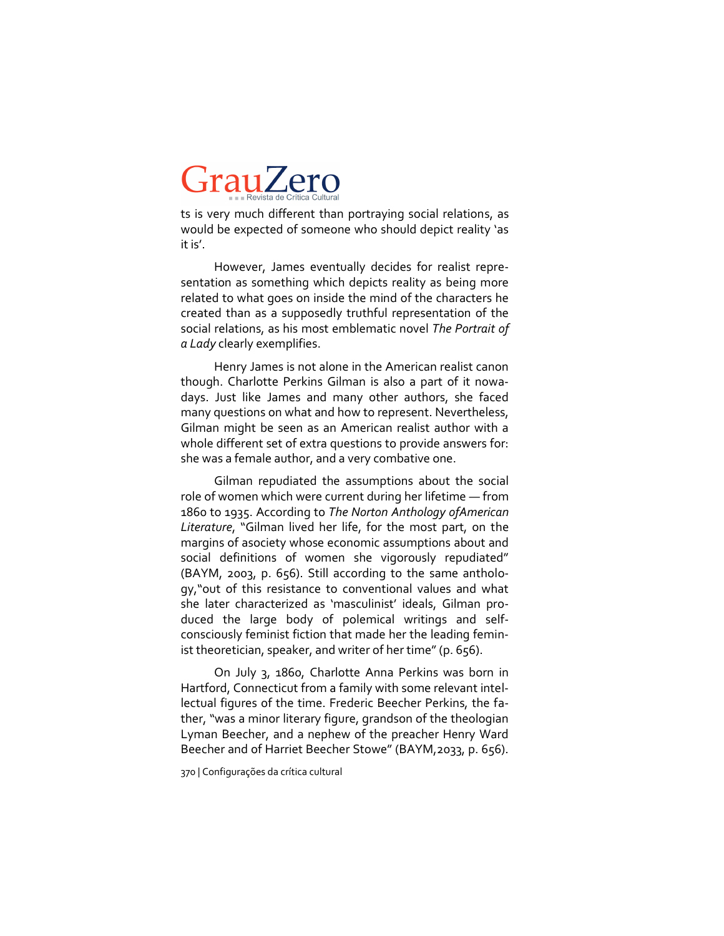ts is very much different than portraying social relations, as would be expected of someone who should depict reality 'as it is'.

However, James eventually decides for realist representation as something which depicts reality as being more related to what goes on inside the mind of the characters he created than as a supposedly truthful representation of the social relations, as his most emblematic novel *The Portrait of a Lady* clearly exemplifies.

Henry James is not alone in the American realist canon though. Charlotte Perkins Gilman is also a part of it nowadays. Just like James and many other authors, she faced many questions on what and how to represent. Nevertheless, Gilman might be seen as an American realist author with a whole different set of extra questions to provide answers for: she was a female author, and a very combative one.

Gilman repudiated the assumptions about the social role of women which were current during her lifetime — from 1860 to 1935. According to *The Norton Anthology ofAmerican Literature*, "Gilman lived her life, for the most part, on the margins of asociety whose economic assumptions about and social definitions of women she vigorously repudiated" (BAYM, 2003, p. 656). Still according to the same anthology,"out of this resistance to conventional values and what she later characterized as 'masculinist' ideals, Gilman produced the large body of polemical writings and selfconsciously feminist fiction that made her the leading feminist theoretician, speaker, and writer of her time" (p. 656).

On July 3, 1860, Charlotte Anna Perkins was born in Hartford, Connecticut from a family with some relevant intellectual figures of the time. Frederic Beecher Perkins, the father, "was a minor literary figure, grandson of the theologian Lyman Beecher, and a nephew of the preacher Henry Ward Beecher and of Harriet Beecher Stowe" (BAYM,2033, p. 656).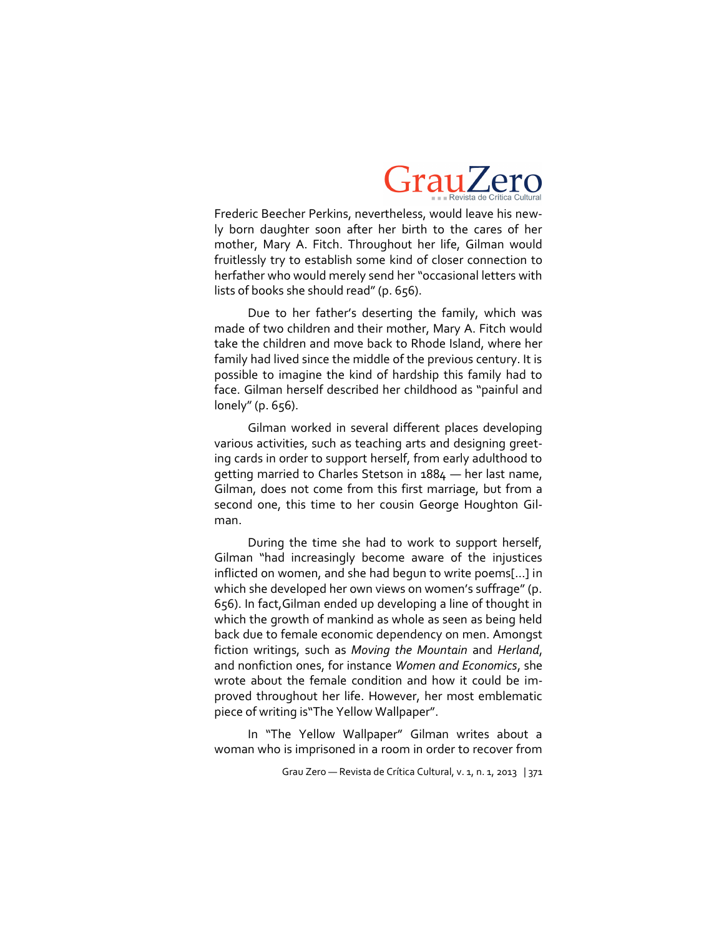

Frederic Beecher Perkins, nevertheless, would leave his newly born daughter soon after her birth to the cares of her mother, Mary A. Fitch. Throughout her life, Gilman would fruitlessly try to establish some kind of closer connection to herfather who would merely send her "occasional letters with lists of books she should read" (p. 656).

Due to her father's deserting the family, which was made of two children and their mother, Mary A. Fitch would take the children and move back to Rhode Island, where her family had lived since the middle of the previous century. It is possible to imagine the kind of hardship this family had to face. Gilman herself described her childhood as "painful and lonely" (p. 656).

Gilman worked in several different places developing various activities, such as teaching arts and designing greeting cards in order to support herself, from early adulthood to getting married to Charles Stetson in 1884 — her last name, Gilman, does not come from this first marriage, but from a second one, this time to her cousin George Houghton Gilman.

During the time she had to work to support herself, Gilman "had increasingly become aware of the injustices inflicted on women, and she had begun to write poems[…] in which she developed her own views on women's suffrage" (p. 656). In fact,Gilman ended up developing a line of thought in which the growth of mankind as whole as seen as being held back due to female economic dependency on men. Amongst fiction writings, such as *Moving the Mountain* and *Herland*, and nonfiction ones, for instance *Women and Economics*, she wrote about the female condition and how it could be improved throughout her life. However, her most emblematic piece of writing is"The Yellow Wallpaper".

In "The Yellow Wallpaper" Gilman writes about a woman who is imprisoned in a room in order to recover from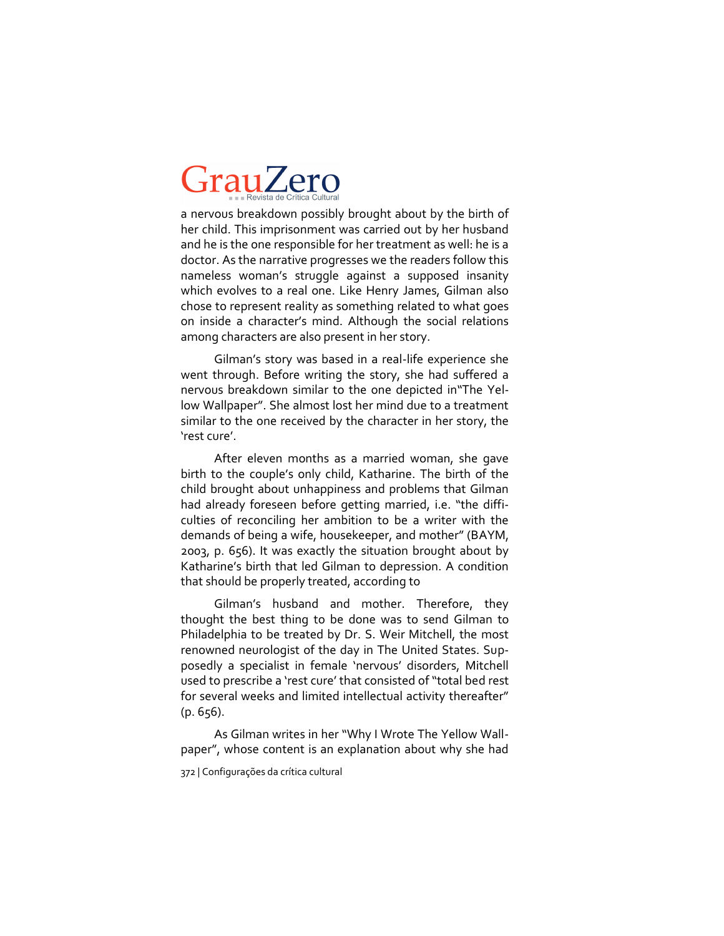a nervous breakdown possibly brought about by the birth of her child. This imprisonment was carried out by her husband and he is the one responsible for her treatment as well: he is a doctor. As the narrative progresses we the readers follow this nameless woman's struggle against a supposed insanity which evolves to a real one. Like Henry James, Gilman also chose to represent reality as something related to what goes on inside a character's mind. Although the social relations among characters are also present in her story.

Gilman's story was based in a real-life experience she went through. Before writing the story, she had suffered a nervous breakdown similar to the one depicted in"The Yellow Wallpaper". She almost lost her mind due to a treatment similar to the one received by the character in her story, the 'rest cure'.

After eleven months as a married woman, she gave birth to the couple's only child, Katharine. The birth of the child brought about unhappiness and problems that Gilman had already foreseen before getting married, i.e. "the difficulties of reconciling her ambition to be a writer with the demands of being a wife, housekeeper, and mother" (BAYM, 2003, p. 656). It was exactly the situation brought about by Katharine's birth that led Gilman to depression. A condition that should be properly treated, according to

Gilman's husband and mother. Therefore, they thought the best thing to be done was to send Gilman to Philadelphia to be treated by Dr. S. Weir Mitchell, the most renowned neurologist of the day in The United States. Supposedly a specialist in female 'nervous' disorders, Mitchell used to prescribe a 'rest cure' that consisted of "total bed rest for several weeks and limited intellectual activity thereafter"  $(p. 656)$ .

As Gilman writes in her "Why I Wrote The Yellow Wallpaper", whose content is an explanation about why she had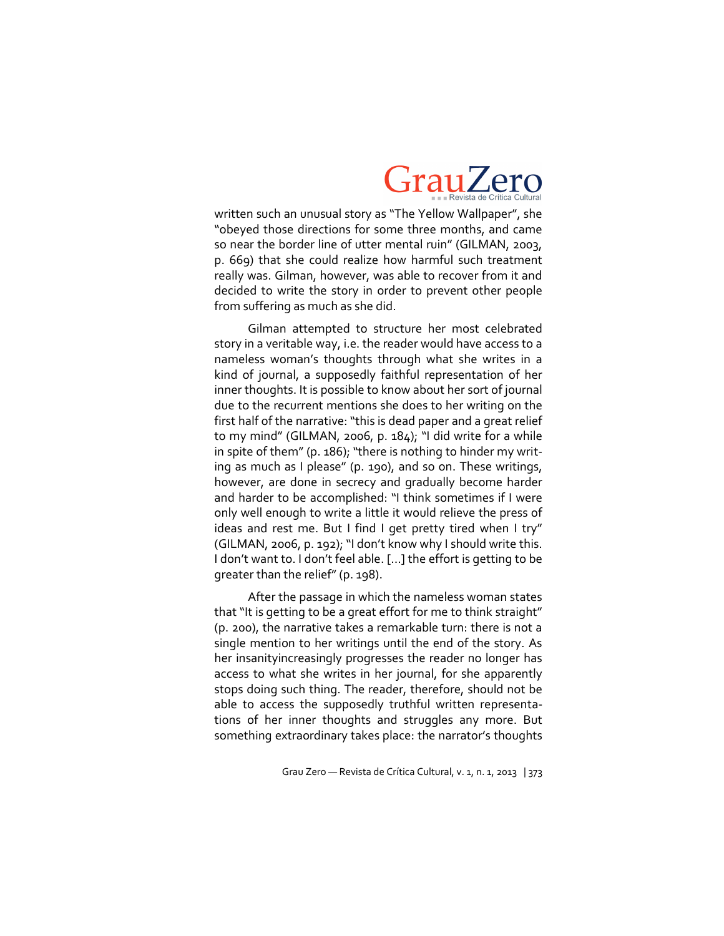

written such an unusual story as "The Yellow Wallpaper", she "obeyed those directions for some three months, and came so near the border line of utter mental ruin" (GILMAN, 2003, p. 669) that she could realize how harmful such treatment really was. Gilman, however, was able to recover from it and decided to write the story in order to prevent other people from suffering as much as she did.

Gilman attempted to structure her most celebrated story in a veritable way, i.e. the reader would have access to a nameless woman's thoughts through what she writes in a kind of journal, a supposedly faithful representation of her inner thoughts. It is possible to know about her sort of journal due to the recurrent mentions she does to her writing on the first half of the narrative: "this is dead paper and a great relief to my mind" (GILMAN, 2006, p. 184); "I did write for a while in spite of them" (p. 186); "there is nothing to hinder my writing as much as I please" (p. 190), and so on. These writings, however, are done in secrecy and gradually become harder and harder to be accomplished: "I think sometimes if I were only well enough to write a little it would relieve the press of ideas and rest me. But I find I get pretty tired when I try" (GILMAN, 2006, p. 192); "I don't know why I should write this. I don't want to. I don't feel able. [...] the effort is getting to be greater than the relief" (p. 198).

After the passage in which the nameless woman states that "It is getting to be a great effort for me to think straight" (p. 200), the narrative takes a remarkable turn: there is not a single mention to her writings until the end of the story. As her insanityincreasingly progresses the reader no longer has access to what she writes in her journal, for she apparently stops doing such thing. The reader, therefore, should not be able to access the supposedly truthful written representations of her inner thoughts and struggles any more. But something extraordinary takes place: the narrator's thoughts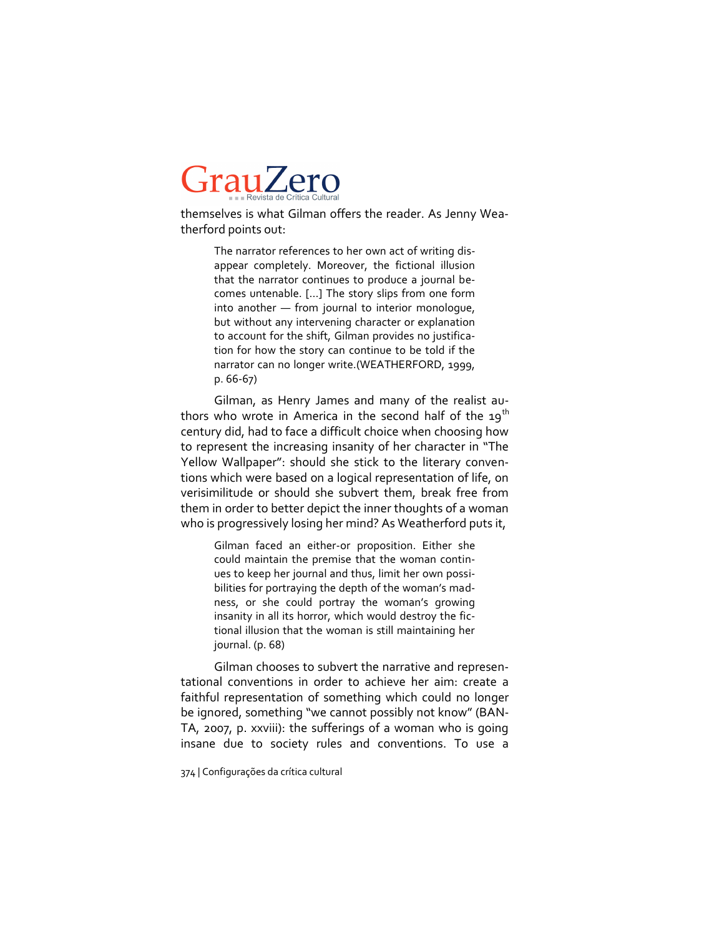themselves is what Gilman offers the reader. As Jenny Weatherford points out:

> The narrator references to her own act of writing disappear completely. Moreover, the fictional illusion that the narrator continues to produce a journal becomes untenable. [...] The story slips from one form into another — from journal to interior monologue, but without any intervening character or explanation to account for the shift, Gilman provides no justification for how the story can continue to be told if the narrator can no longer write.(WEATHERFORD, 1999, p. 66-67)

Gilman, as Henry James and many of the realist authors who wrote in America in the second half of the  $19^{th}$ century did, had to face a difficult choice when choosing how to represent the increasing insanity of her character in "The Yellow Wallpaper": should she stick to the literary conventions which were based on a logical representation of life, on verisimilitude or should she subvert them, break free from them in order to better depict the inner thoughts of a woman who is progressively losing her mind? As Weatherford puts it,

> Gilman faced an either-or proposition. Either she could maintain the premise that the woman continues to keep her journal and thus, limit her own possibilities for portraying the depth of the woman's madness, or she could portray the woman's growing insanity in all its horror, which would destroy the fictional illusion that the woman is still maintaining her journal. (p. 68)

Gilman chooses to subvert the narrative and representational conventions in order to achieve her aim: create a faithful representation of something which could no longer be ignored, something "we cannot possibly not know" (BAN-TA, 2007, p. xxviii): the sufferings of a woman who is going insane due to society rules and conventions. To use a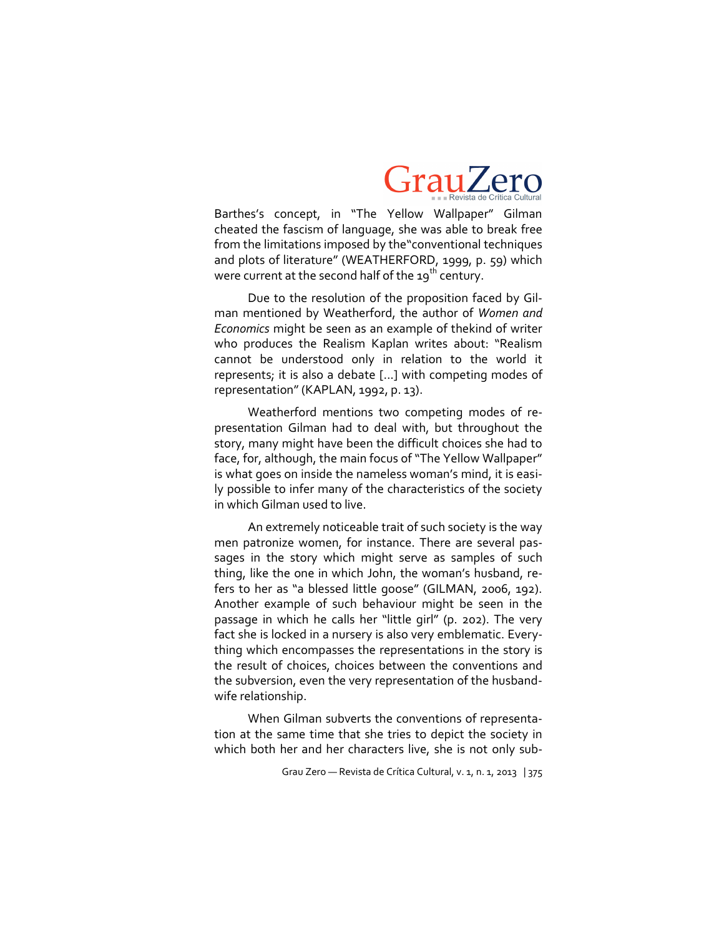

Barthes's concept, in "The Yellow Wallpaper" Gilman cheated the fascism of language, she was able to break free from the limitations imposed by the"conventional techniques and plots of literature" (WEATHERFORD, 1999, p. 59) which were current at the second half of the 19<sup>th</sup> century.

Due to the resolution of the proposition faced by Gilman mentioned by Weatherford, the author of *Women and Economics* might be seen as an example of thekind of writer who produces the Realism Kaplan writes about: "Realism cannot be understood only in relation to the world it represents; it is also a debate [...] with competing modes of representation" (KAPLAN, 1992, p. 13).

Weatherford mentions two competing modes of representation Gilman had to deal with, but throughout the story, many might have been the difficult choices she had to face, for, although, the main focus of "The Yellow Wallpaper" is what goes on inside the nameless woman's mind, it is easily possible to infer many of the characteristics of the society in which Gilman used to live.

An extremely noticeable trait of such society is the way men patronize women, for instance. There are several passages in the story which might serve as samples of such thing, like the one in which John, the woman's husband, refers to her as "a blessed little goose" (GILMAN, 2006, 192). Another example of such behaviour might be seen in the passage in which he calls her "little girl" (p. 202). The very fact she is locked in a nursery is also very emblematic. Everything which encompasses the representations in the story is the result of choices, choices between the conventions and the subversion, even the very representation of the husbandwife relationship.

When Gilman subverts the conventions of representation at the same time that she tries to depict the society in which both her and her characters live, she is not only sub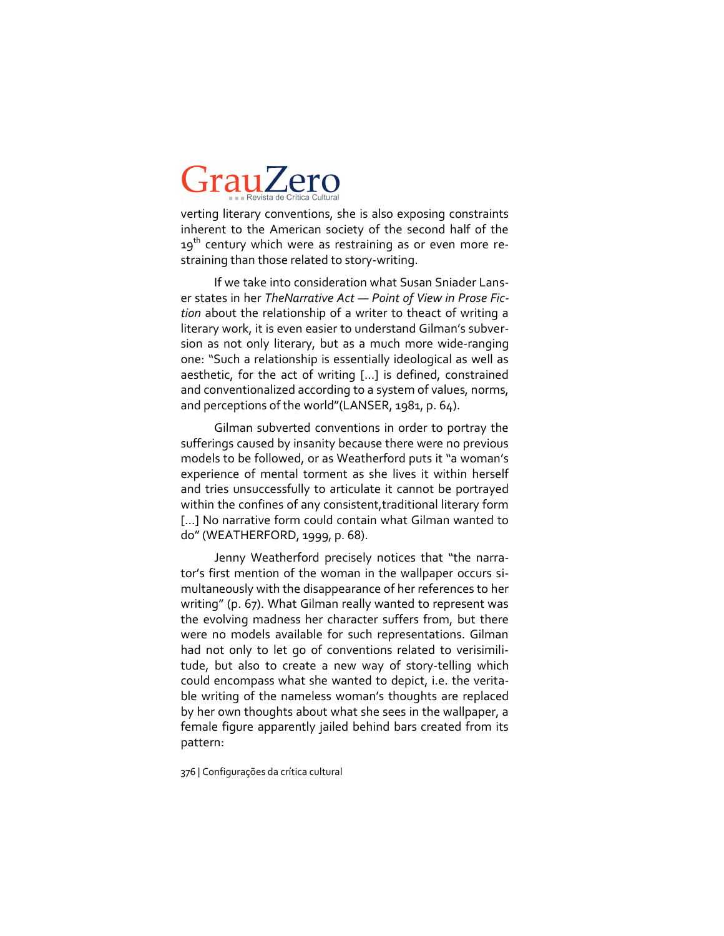verting literary conventions, she is also exposing constraints inherent to the American society of the second half of the  $19<sup>th</sup>$  century which were as restraining as or even more restraining than those related to story-writing.

If we take into consideration what Susan Sniader Lanser states in her *TheNarrative Act — Point of View in Prose Fiction* about the relationship of a writer to theact of writing a literary work, it is even easier to understand Gilman's subversion as not only literary, but as a much more wide-ranging one: "Such a relationship is essentially ideological as well as aesthetic, for the act of writing [...] is defined, constrained and conventionalized according to a system of values, norms, and perceptions of the world"(LANSER, 1981, p. 64).

Gilman subverted conventions in order to portray the sufferings caused by insanity because there were no previous models to be followed, or as Weatherford puts it "a woman's experience of mental torment as she lives it within herself and tries unsuccessfully to articulate it cannot be portrayed within the confines of any consistent, traditional literary form [...] No narrative form could contain what Gilman wanted to do" (WEATHERFORD, 1999, p. 68).

Jenny Weatherford precisely notices that "the narrator's first mention of the woman in the wallpaper occurs simultaneously with the disappearance of her references to her writing" (p. 67). What Gilman really wanted to represent was the evolving madness her character suffers from, but there were no models available for such representations. Gilman had not only to let go of conventions related to verisimilitude, but also to create a new way of story-telling which could encompass what she wanted to depict, i.e. the veritable writing of the nameless woman's thoughts are replaced by her own thoughts about what she sees in the wallpaper, a female figure apparently jailed behind bars created from its pattern: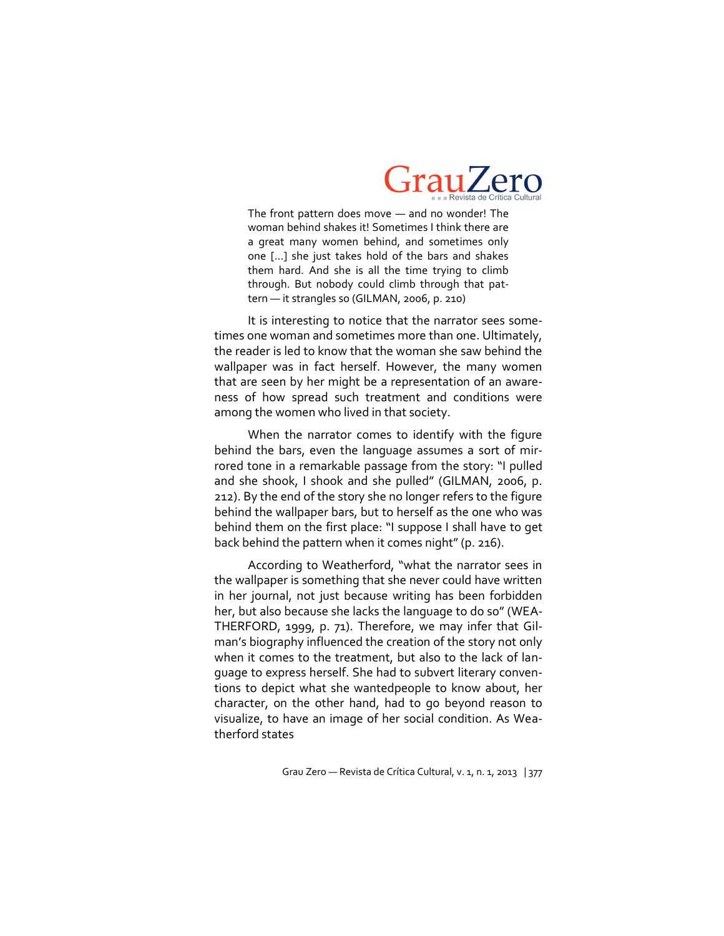

The front pattern does move — and no wonder! The woman behind shakes it! Sometimes I think there are a great many women behind, and sometimes only one [...] she just takes hold of the bars and shakes them hard. And she is all the time trying to climb through. But nobody could climb through that pattern — it strangles so (GILMAN, 2006, p. 210)

It is interesting to notice that the narrator sees sometimes one woman and sometimes more than one. Ultimately, the reader is led to know that the woman she saw behind the wallpaper was in fact herself. However, the many women that are seen by her might be a representation of an awareness of how spread such treatment and conditions were among the women who lived in that society.

When the narrator comes to identify with the figure behind the bars, even the language assumes a sort of mirrored tone in a remarkable passage from the story: "I pulled and she shook, I shook and she pulled" (GILMAN, 2006, p. 212). By the end of the story she no longer refers to the figure behind the wallpaper bars, but to herself as the one who was behind them on the first place: "I suppose I shall have to get back behind the pattern when it comes night" (p. 216).

According to Weatherford, "what the narrator sees in the wallpaper is something that she never could have written in her journal, not just because writing has been forbidden her, but also because she lacks the language to do so" (WEA-THERFORD, 1999, p. 71). Therefore, we may infer that Gilman's biography influenced the creation of the story not only when it comes to the treatment, but also to the lack of language to express herself. She had to subvert literary conventions to depict what she wantedpeople to know about, her character, on the other hand, had to go beyond reason to visualize, to have an image of her social condition. As Weatherford states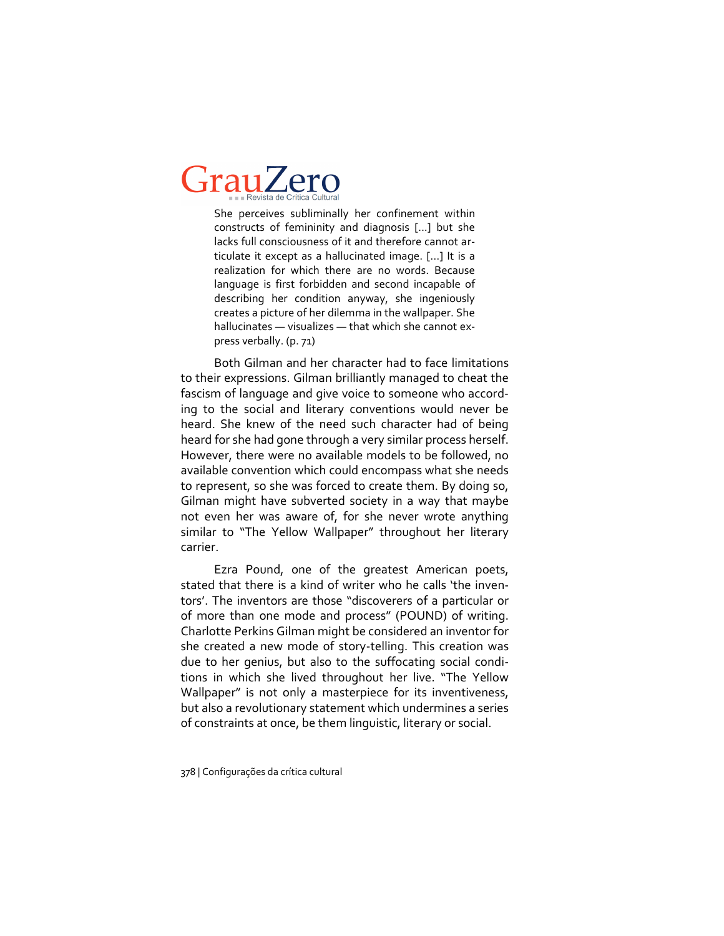She perceives subliminally her confinement within constructs of femininity and diagnosis [...] but she lacks full consciousness of it and therefore cannot articulate it except as a hallucinated image. [...] It is a realization for which there are no words. Because language is first forbidden and second incapable of describing her condition anyway, she ingeniously creates a picture of her dilemma in the wallpaper. She hallucinates — visualizes — that which she cannot express verbally. (p. 71)

Both Gilman and her character had to face limitations to their expressions. Gilman brilliantly managed to cheat the fascism of language and give voice to someone who according to the social and literary conventions would never be heard. She knew of the need such character had of being heard for she had gone through a very similar process herself. However, there were no available models to be followed, no available convention which could encompass what she needs to represent, so she was forced to create them. By doing so, Gilman might have subverted society in a way that maybe not even her was aware of, for she never wrote anything similar to "The Yellow Wallpaper" throughout her literary carrier.

Ezra Pound, one of the greatest American poets, stated that there is a kind of writer who he calls 'the inventors'. The inventors are those "discoverers of a particular or of more than one mode and process" (POUND) of writing. Charlotte Perkins Gilman might be considered an inventor for she created a new mode of story-telling. This creation was due to her genius, but also to the suffocating social conditions in which she lived throughout her live. "The Yellow Wallpaper" is not only a masterpiece for its inventiveness, but also a revolutionary statement which undermines a series of constraints at once, be them linguistic, literary or social.